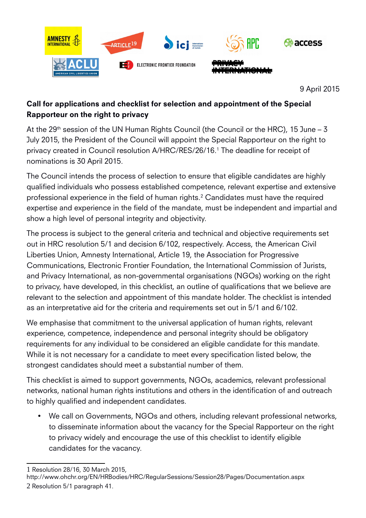

9 April 2015

# Call for applications and checklist for selection and appointment of the Special Rapporteur on the right to privacy

At the  $29<sup>th</sup>$  session of the UN Human Rights Council (the Council or the HRC), 15 June – 3 July 2015, the President of the Council will appoint the Special Rapporteur on the right to privacy created in Council resolution A/HRC/RES/26/16.[1](#page-0-0) The deadline for receipt of nominations is 30 April 2015.

The Council intends the process of selection to ensure that eligible candidates are highly qualified individuals who possess established competence, relevant expertise and extensive professional experience in the field of human rights.[2](#page-0-1) Candidates must have the required expertise and experience in the field of the mandate, must be independent and impartial and show a high level of personal integrity and objectivity.

The process is subject to the general criteria and technical and objective requirements set out in HRC resolution 5/1 and decision 6/102, respectively. Access, the American Civil Liberties Union, Amnesty International, Article 19, the Association for Progressive Communications, Electronic Frontier Foundation, the International Commission of Jurists, and Privacy International, as non-governmental organisations (NGOs) working on the right to privacy, have developed, in this checklist, an outline of qualifications that we believe are relevant to the selection and appointment of this mandate holder. The checklist is intended as an interpretative aid for the criteria and requirements set out in 5/1 and 6/102.

We emphasise that commitment to the universal application of human rights, relevant experience, competence, independence and personal integrity should be obligatory requirements for any individual to be considered an eligible candidate for this mandate. While it is not necessary for a candidate to meet every specification listed below, the strongest candidates should meet a substantial number of them.

This checklist is aimed to support governments, NGOs, academics, relevant professional networks, national human rights institutions and others in the identification of and outreach to highly qualified and independent candidates.

 We call on Governments, NGOs and others, including relevant professional networks, to disseminate information about the vacancy for the Special Rapporteur on the right to privacy widely and encourage the use of this checklist to identify eligible candidates for the vacancy.

<span id="page-0-0"></span><sup>1</sup> Resolution 28/16, 30 March 2015,

<span id="page-0-1"></span>http://www.ohchr.org/EN/HRBodies/HRC/RegularSessions/Session28/Pages/Documentation.aspx 2 Resolution 5/1 paragraph 41.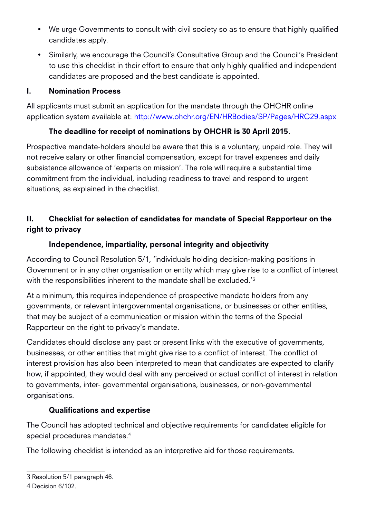- We urge Governments to consult with civil society so as to ensure that highly qualified candidates apply.
- Similarly, we encourage the Council's Consultative Group and the Council's President to use this checklist in their effort to ensure that only highly qualified and independent candidates are proposed and the best candidate is appointed.

#### I. Nomination Process

All applicants must submit an application for the mandate through the OHCHR online application system available at:<http://www.ohchr.org/EN/HRBodies/SP/Pages/HRC29.aspx>

### The deadline for receipt of nominations by OHCHR is 30 April 2015.

Prospective mandate-holders should be aware that this is a voluntary, unpaid role. They will not receive salary or other financial compensation, except for travel expenses and daily subsistence allowance of 'experts on mission'. The role will require a substantial time commitment from the individual, including readiness to travel and respond to urgent situations, as explained in the checklist.

## II. Checklist for selection of candidates for mandate of Special Rapporteur on the right to privacy

### Independence, impartiality, personal integrity and objectivity

According to Council Resolution 5/1, 'individuals holding decision-making positions in Government or in any other organisation or entity which may give rise to a conflict of interest with the responsibilities inherent to the mandate shall be excluded.<sup>'[3](#page-1-0)</sup>

At a minimum, this requires independence of prospective mandate holders from any governments, or relevant intergovernmental organisations, or businesses or other entities, that may be subject of a communication or mission within the terms of the Special Rapporteur on the right to privacy's mandate.

Candidates should disclose any past or present links with the executive of governments, businesses, or other entities that might give rise to a conflict of interest. The conflict of interest provision has also been interpreted to mean that candidates are expected to clarify how, if appointed, they would deal with any perceived or actual conflict of interest in relation to governments, inter- governmental organisations, businesses, or non-governmental organisations.

#### Qualifications and expertise

The Council has adopted technical and objective requirements for candidates eligible for special procedures mandates.[4](#page-1-1)

The following checklist is intended as an interpretive aid for those requirements.

<span id="page-1-0"></span><sup>3</sup> Resolution 5/1 paragraph 46.

<span id="page-1-1"></span><sup>4</sup> Decision 6/102.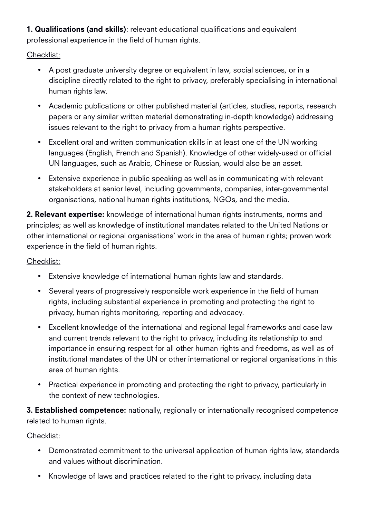1. Qualifications (and skills): relevant educational qualifications and equivalent professional experience in the field of human rights.

Checklist:

- A post graduate university degree or equivalent in law, social sciences, or in a discipline directly related to the right to privacy, preferably specialising in international human rights law.
- Academic publications or other published material (articles, studies, reports, research papers or any similar written material demonstrating in-depth knowledge) addressing issues relevant to the right to privacy from a human rights perspective.
- Excellent oral and written communication skills in at least one of the UN working languages (English, French and Spanish). Knowledge of other widely-used or official UN languages, such as Arabic, Chinese or Russian, would also be an asset.
- Extensive experience in public speaking as well as in communicating with relevant stakeholders at senior level, including governments, companies, inter-governmental organisations, national human rights institutions, NGOs, and the media.

2. Relevant expertise: knowledge of international human rights instruments, norms and principles; as well as knowledge of institutional mandates related to the United Nations or other international or regional organisations' work in the area of human rights; proven work experience in the field of human rights.

Checklist:

- Extensive knowledge of international human rights law and standards.
- Several years of progressively responsible work experience in the field of human rights, including substantial experience in promoting and protecting the right to privacy, human rights monitoring, reporting and advocacy.
- Excellent knowledge of the international and regional legal frameworks and case law and current trends relevant to the right to privacy, including its relationship to and importance in ensuring respect for all other human rights and freedoms, as well as of institutional mandates of the UN or other international or regional organisations in this area of human rights.
- Practical experience in promoting and protecting the right to privacy, particularly in the context of new technologies.

**3. Established competence:** nationally, regionally or internationally recognised competence related to human rights.

Checklist:

- Demonstrated commitment to the universal application of human rights law, standards and values without discrimination.
- Knowledge of laws and practices related to the right to privacy, including data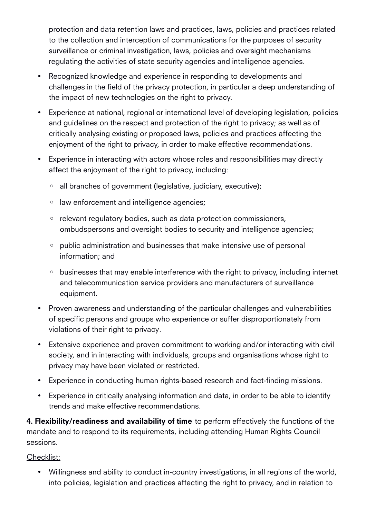protection and data retention laws and practices, laws, policies and practices related to the collection and interception of communications for the purposes of security surveillance or criminal investigation, laws, policies and oversight mechanisms regulating the activities of state security agencies and intelligence agencies.

- Recognized knowledge and experience in responding to developments and challenges in the field of the privacy protection, in particular a deep understanding of the impact of new technologies on the right to privacy.
- Experience at national, regional or international level of developing legislation, policies and guidelines on the respect and protection of the right to privacy; as well as of critically analysing existing or proposed laws, policies and practices affecting the enjoyment of the right to privacy, in order to make effective recommendations.
- Experience in interacting with actors whose roles and responsibilities may directly affect the enjoyment of the right to privacy, including:
	- all branches of government (legislative, judiciary, executive);
	- law enforcement and intelligence agencies;
	- relevant regulatory bodies, such as data protection commissioners, ombudspersons and oversight bodies to security and intelligence agencies;
	- public administration and businesses that make intensive use of personal information; and
	- businesses that may enable interference with the right to privacy, including internet and telecommunication service providers and manufacturers of surveillance equipment.
- Proven awareness and understanding of the particular challenges and vulnerabilities of specific persons and groups who experience or suffer disproportionately from violations of their right to privacy.
- Extensive experience and proven commitment to working and/or interacting with civil society, and in interacting with individuals, groups and organisations whose right to privacy may have been violated or restricted.
- Experience in conducting human rights-based research and fact-finding missions.
- Experience in critically analysing information and data, in order to be able to identify trends and make effective recommendations.

4. Flexibility/readiness and availability of time to perform effectively the functions of the mandate and to respond to its requirements, including attending Human Rights Council sessions.

#### Checklist:

 Willingness and ability to conduct in-country investigations, in all regions of the world, into policies, legislation and practices affecting the right to privacy, and in relation to